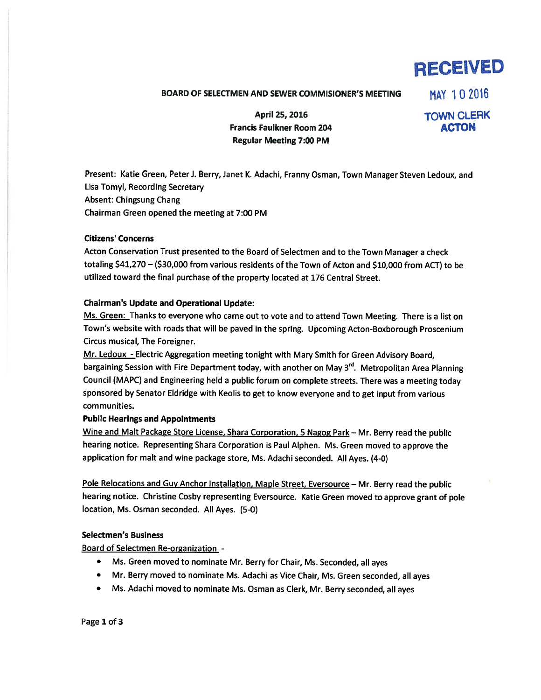# RECEIVED

## BOARD OF SELECTMEN AND SEWER COMMISIONER'S MEETING MAY 10 2016

April 25, 2016 TOWN CLERK Francis Faulkner Room 204 **ACTON** Regular Meeting 7:00 PM

Present: Katie Green, Peter J. Berry, Janet K. Adachi, Franny Osman, Town Manager Steven Ledoux, and Lisa Tomyl, Recording Secretary Absent: Chingsung Chang Chairman Green opened the meeting at 7:00 PM

### Citizens' Concerns

Acton Conservation Trust presented to the Board of Selectmen and to the Town Manager <sup>a</sup> check totaling \$41,270 —(\$30,000 from various residents of the Town of Acton and \$10,000 from ACT) to be utilized toward the final purchase of the property located at 176 Central Street.

### Chairman's Update and Operational Update:

Ms. Green: Thanks to everyone who came out to vote and to attend Town Meeting. There is a list on Town's website with roads that will be pave<sup>d</sup> in the spring. Upcoming Acton-Boxborough Proscenium Circus musical, The Foreigner.

Mr. Ledoux - Electric Aggregation meeting tonight with Mary Smith for Green Advisory Board, bargaining Session with Fire Department today, with another on May 3<sup>rd</sup>. Metropolitan Area Planning Council (MAPC) and Engineering held <sup>a</sup> public forum on complete streets. There was <sup>a</sup> meeting today sponsore<sup>d</sup> by Senator Eldridge with Keolis to ge<sup>t</sup> to know everyone and to ge<sup>t</sup> input from various communities.

### Public Hearings and Appointments

Wine and Malt Package Store License, Shara Corporation, <sup>5</sup> Nagog Park — Mr. Berry read the public hearing notice. Representing Shara Corporation is Paul Aiphen. Ms. Green moved to approve the application for malt and wine package store, Ms. Adachi seconded. All Ayes. (4-0)

Pole Relocations and Guy Anchor Installation, Maple Street, Eversource — Mr. Berry read the public hearing notice. Christine Cosby representing Eversource. Katie Green moved to approve gran<sup>t</sup> of pole location, Ms. Osman seconded. All Ayes. (5-0)

### Selectmen's Business

Board of Selectmen Re-organization -

- Ms. Green moved to nominate Mr. Berry for Chair, Ms. Seconded, all ayes
- Mr. Berry moved to nominate Ms. Adachi as Vice Chair, Ms. Green seconded, all ayes
- Ms. Adachi moved to nominate Ms. Osman as Clerk, Mr. Berry seconded, all ayes

Page 1 of 3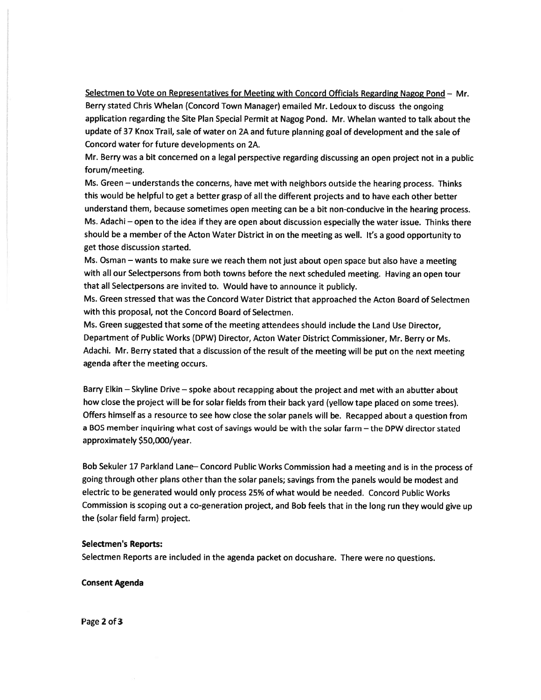Selectmen to Vote on Representatives for Meeting with Concord Officials Regarding Nagog Pond — Mr. Berry stated Chris Whelan (Concord Town Manager) emailed Mr. Ledoux to discuss the ongoing application regarding the Site Plan Special Permit at Nagog Pond. Mr. Whelan wanted to talk about the update of <sup>37</sup> Knox Trail, sale of water on 2A and future <sup>p</sup>lanning goa<sup>l</sup> of development and the sale of Concord water for future developments on 2A.

Mr. Berry was <sup>a</sup> bit concerned on <sup>a</sup> legal perspective regarding discussing an open project not in <sup>a</sup> public forum/meeting.

Ms. Green — understands the concerns, have met with neighbors outside the hearing process. Thinks this would be helpful to ge<sup>t</sup> <sup>a</sup> better grasp of all the different projects and to have each other better understand them, because sometimes open meeting can be <sup>a</sup> bit non-conducive in the hearing process. Ms. Adachi — open to the idea if they are open about discussion especially the water issue. Thinks there should be <sup>a</sup> member of the Acton Water District in on the meeting as well. It's <sup>a</sup> goo<sup>d</sup> opportunity to ge<sup>t</sup> those discussion started.

Ms. Osman — wants to make sure we reach them not just about open space but also have <sup>a</sup> meeting with all our Selectpersons from both towns before the next scheduled meeting. Having an open tour that all Selectpersons are invited to. Would have to announce it publicly.

Ms. Green stressed that was the Concord Water District that approached the Acton Board of Selectmen with this proposal, not the Concord Board of Selectmen.

Ms. Green suggested that some of the meeting attendees should include the Land Use Director, Department of Public Works (DPW) Director, Acton Water District Commissioner, Mr. Berry or Ms. Adachi. Mr. Berry stated that <sup>a</sup> discussion of the result of the meeting will be pu<sup>t</sup> on the next meeting agenda after the meeting occurs.

Barry Elkin — Skyline Drive — spoke about recapping about the project and met with an abutter about how close the project will be for solar fields from their back yar<sup>d</sup> (yellow tape <sup>p</sup>laced on some trees). Offers himself as <sup>a</sup> resource to see how close the solar panels will be. Recapped about <sup>a</sup> question from <sup>a</sup> BOS member inquiring what cost of savings would be with the solar farm — the DPW director stated approximately \$50,000/year.

Bob Sekuler <sup>17</sup> Parkland Lane— Concord Public Works Commission had <sup>a</sup> meeting and is in the process of going through other <sup>p</sup>lans other than the solar panels; savings from the panels would be modest and electric to be generated would only process 25% of what would be needed. Concord Public Works Commission is scoping out <sup>a</sup> co-generation project, and Bob feels that in the long run they would <sup>g</sup>ive up the (solar field farm) project.

#### Selectmen's Reports:

Selectmen Reports are included in the agenda packet on docushare. There were no questions.

Consent Agenda

Page 2 of 3